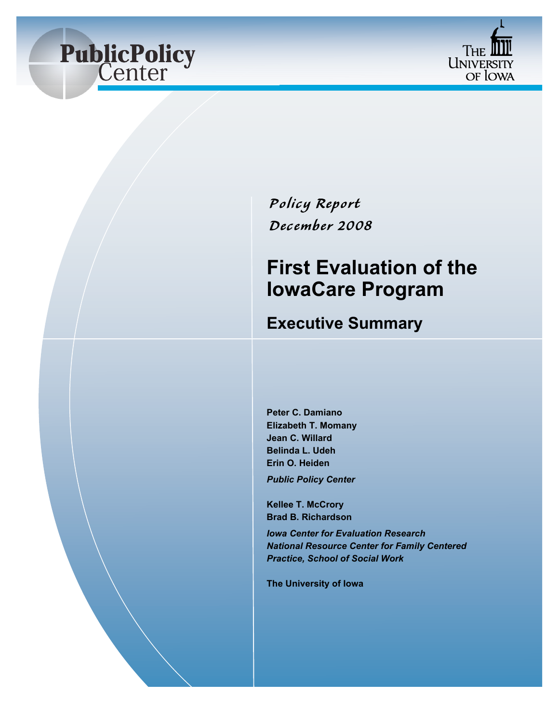



## $P$ olicy Report *Dec ember 2008*

# **First Evaluation of the IowaCare Program**

### **Executive Summary**

**Peter C. Damiano Elizabeth T. Momany Jean C. Willard Belinda L. Udeh Erin O. Heiden**

*Public Policy Center*

**Kellee T. McCrory Brad B. Richardson**

*Iowa Center for Evaluation Research National Resource Center for Family Centered Practice, School of Social Work*

**The University of Iowa**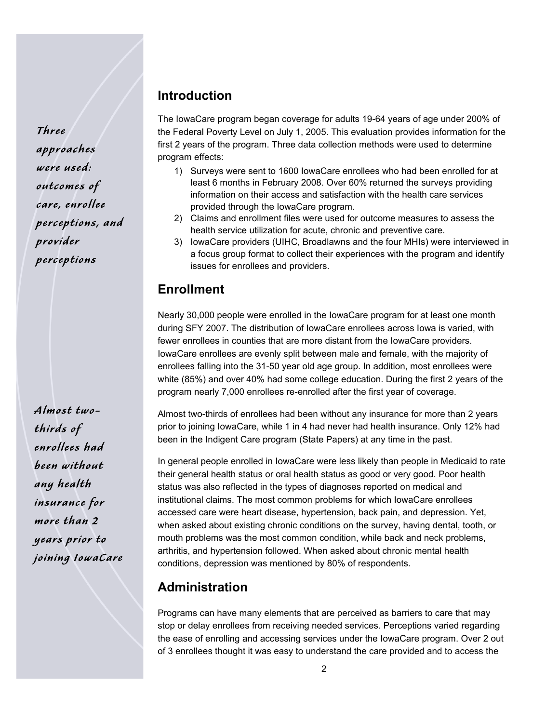Three approaches were used: outcomes of care, enrollee perceptions, and provider perceptions

Almost twothirds of enrollees had been without any health insurance for more than 2 years prior to joining IowaCare

#### **Introduction**

The IowaCare program began coverage for adults 19-64 years of age under 200% of the Federal Poverty Level on July 1, 2005. This evaluation provides information for the first 2 years of the program. Three data collection methods were used to determine program effects:

- 1) Surveys were sent to 1600 IowaCare enrollees who had been enrolled for at least 6 months in February 2008. Over 60% returned the surveys providing information on their access and satisfaction with the health care services provided through the IowaCare program.
- 2) Claims and enrollment files were used for outcome measures to assess the health service utilization for acute, chronic and preventive care.
- 3) IowaCare providers (UIHC, Broadlawns and the four MHIs) were interviewed in a focus group format to collect their experiences with the program and identify issues for enrollees and providers.

#### **Enrollment**

Nearly 30,000 people were enrolled in the IowaCare program for at least one month during SFY 2007. The distribution of IowaCare enrollees across Iowa is varied, with fewer enrollees in counties that are more distant from the IowaCare providers. IowaCare enrollees are evenly split between male and female, with the majority of enrollees falling into the 31-50 year old age group. In addition, most enrollees were white (85%) and over 40% had some college education. During the first 2 years of the program nearly 7,000 enrollees re-enrolled after the first year of coverage.

Almost two-thirds of enrollees had been without any insurance for more than 2 years prior to joining IowaCare, while 1 in 4 had never had health insurance. Only 12% had been in the Indigent Care program (State Papers) at any time in the past.

In general people enrolled in IowaCare were less likely than people in Medicaid to rate their general health status or oral health status as good or very good. Poor health status was also reflected in the types of diagnoses reported on medical and institutional claims. The most common problems for which IowaCare enrollees accessed care were heart disease, hypertension, back pain, and depression. Yet, when asked about existing chronic conditions on the survey, having dental, tooth, or mouth problems was the most common condition, while back and neck problems, arthritis, and hypertension followed. When asked about chronic mental health conditions, depression was mentioned by 80% of respondents.

#### **Administration**

Programs can have many elements that are perceived as barriers to care that may stop or delay enrollees from receiving needed services. Perceptions varied regarding the ease of enrolling and accessing services under the IowaCare program. Over 2 out of 3 enrollees thought it was easy to understand the care provided and to access the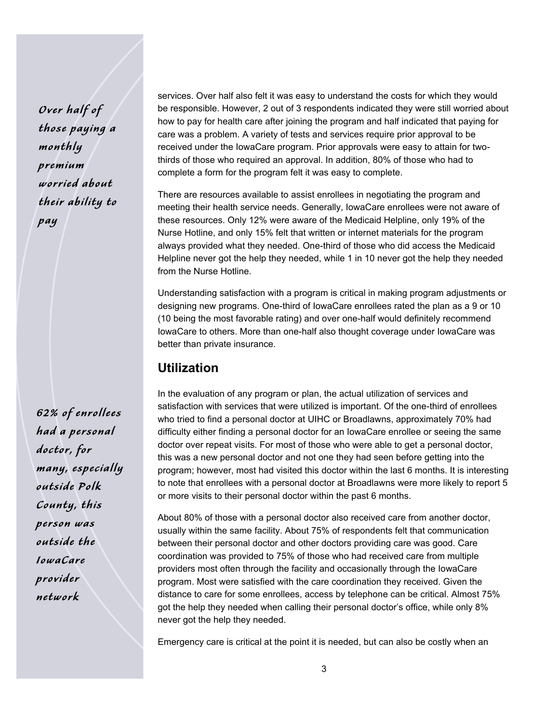Over half of those paying a monthly premium worried about their ability to pay

62% of enrollees had a personal doctor, for many, especially outside Polk County, this person was outside the IowaCare provider network

services. Over half also felt it was easy to understand the costs for which they would be responsible. However, 2 out of 3 respondents indicated they were still worried about how to pay for health care after joining the program and half indicated that paying for care was a problem. A variety of tests and services require prior approval to be received under the IowaCare program. Prior approvals were easy to attain for twothirds of those who required an approval. In addition, 80% of those who had to complete a form for the program felt it was easy to complete.

There are resources available to assist enrollees in negotiating the program and meeting their health service needs. Generally, IowaCare enrollees were not aware of these resources. Only 12% were aware of the Medicaid Helpline, only 19% of the Nurse Hotline, and only 15% felt that written or internet materials for the program always provided what they needed. One-third of those who did access the Medicaid Helpline never got the help they needed, while 1 in 10 never got the help they needed from the Nurse Hotline.

Understanding satisfaction with a program is critical in making program adjustments or designing new programs. One-third of IowaCare enrollees rated the plan as a 9 or 10 (10 being the most favorable rating) and over one-half would definitely recommend IowaCare to others. More than one-half also thought coverage under IowaCare was better than private insurance.

#### **Utilization**

In the evaluation of any program or plan, the actual utilization of services and satisfaction with services that were utilized is important. Of the one-third of enrollees who tried to find a personal doctor at UIHC or Broadlawns, approximately 70% had difficulty either finding a personal doctor for an IowaCare enrollee or seeing the same doctor over repeat visits. For most of those who were able to get a personal doctor, this was a new personal doctor and not one they had seen before getting into the program; however, most had visited this doctor within the last 6 months. It is interesting to note that enrollees with a personal doctor at Broadlawns were more likely to report 5 or more visits to their personal doctor within the past 6 months.

About 80% of those with a personal doctor also received care from another doctor, usually within the same facility. About 75% of respondents felt that communication between their personal doctor and other doctors providing care was good. Care coordination was provided to 75% of those who had received care from multiple providers most often through the facility and occasionally through the IowaCare program. Most were satisfied with the care coordination they received. Given the distance to care for some enrollees, access by telephone can be critical. Almost 75% got the help they needed when calling their personal doctor's office, while only 8% never got the help they needed.

Emergency care is critical at the point it is needed, but can also be costly when an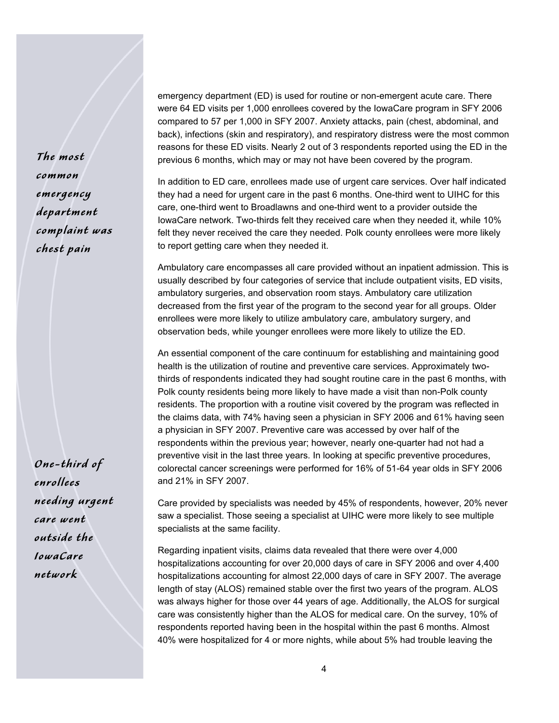The most common emergency department complaint was chest pain

One-third of enrollees needing urgent care went outside the IowaCare network

emergency department (ED) is used for routine or non-emergent acute care. There were 64 ED visits per 1,000 enrollees covered by the IowaCare program in SFY 2006 compared to 57 per 1,000 in SFY 2007. Anxiety attacks, pain (chest, abdominal, and back), infections (skin and respiratory), and respiratory distress were the most common reasons for these ED visits. Nearly 2 out of 3 respondents reported using the ED in the previous 6 months, which may or may not have been covered by the program.

In addition to ED care, enrollees made use of urgent care services. Over half indicated they had a need for urgent care in the past 6 months. One-third went to UIHC for this care, one-third went to Broadlawns and one-third went to a provider outside the IowaCare network. Two-thirds felt they received care when they needed it, while 10% felt they never received the care they needed. Polk county enrollees were more likely to report getting care when they needed it.

Ambulatory care encompasses all care provided without an inpatient admission. This is usually described by four categories of service that include outpatient visits, ED visits, ambulatory surgeries, and observation room stays. Ambulatory care utilization decreased from the first year of the program to the second year for all groups. Older enrollees were more likely to utilize ambulatory care, ambulatory surgery, and observation beds, while younger enrollees were more likely to utilize the ED.

An essential component of the care continuum for establishing and maintaining good health is the utilization of routine and preventive care services. Approximately twothirds of respondents indicated they had sought routine care in the past 6 months, with Polk county residents being more likely to have made a visit than non-Polk county residents. The proportion with a routine visit covered by the program was reflected in the claims data, with 74% having seen a physician in SFY 2006 and 61% having seen a physician in SFY 2007. Preventive care was accessed by over half of the respondents within the previous year; however, nearly one-quarter had not had a preventive visit in the last three years. In looking at specific preventive procedures, colorectal cancer screenings were performed for 16% of 51-64 year olds in SFY 2006 and 21% in SFY 2007.

Care provided by specialists was needed by 45% of respondents, however, 20% never saw a specialist. Those seeing a specialist at UIHC were more likely to see multiple specialists at the same facility.

Regarding inpatient visits, claims data revealed that there were over 4,000 hospitalizations accounting for over 20,000 days of care in SFY 2006 and over 4,400 hospitalizations accounting for almost 22,000 days of care in SFY 2007. The average length of stay (ALOS) remained stable over the first two years of the program. ALOS was always higher for those over 44 years of age. Additionally, the ALOS for surgical care was consistently higher than the ALOS for medical care. On the survey, 10% of respondents reported having been in the hospital within the past 6 months. Almost 40% were hospitalized for 4 or more nights, while about 5% had trouble leaving the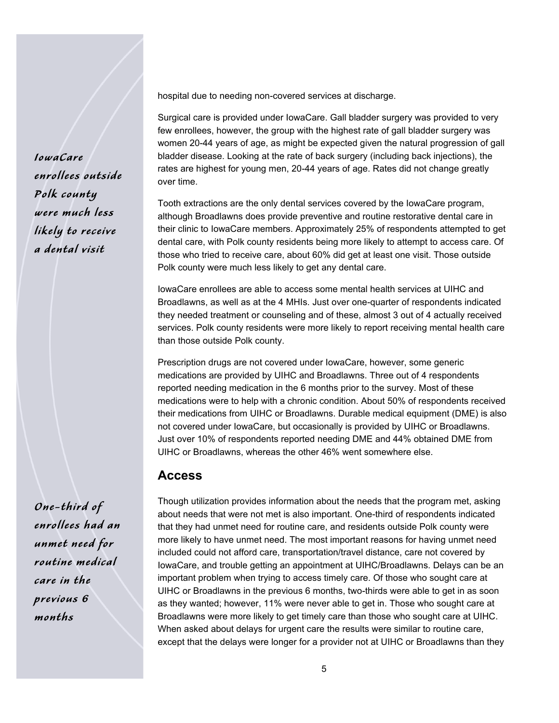hospital due to needing non-covered services at discharge.

Surgical care is provided under IowaCare. Gall bladder surgery was provided to very few enrollees, however, the group with the highest rate of gall bladder surgery was women 20-44 years of age, as might be expected given the natural progression of gall bladder disease. Looking at the rate of back surgery (including back injections), the rates are highest for young men, 20-44 years of age. Rates did not change greatly over time.

Tooth extractions are the only dental services covered by the IowaCare program, although Broadlawns does provide preventive and routine restorative dental care in their clinic to IowaCare members. Approximately 25% of respondents attempted to get dental care, with Polk county residents being more likely to attempt to access care. Of those who tried to receive care, about 60% did get at least one visit. Those outside Polk county were much less likely to get any dental care.

IowaCare enrollees are able to access some mental health services at UIHC and Broadlawns, as well as at the 4 MHIs. Just over one-quarter of respondents indicated they needed treatment or counseling and of these, almost 3 out of 4 actually received services. Polk county residents were more likely to report receiving mental health care than those outside Polk county.

Prescription drugs are not covered under IowaCare, however, some generic medications are provided by UIHC and Broadlawns. Three out of 4 respondents reported needing medication in the 6 months prior to the survey. Most of these medications were to help with a chronic condition. About 50% of respondents received their medications from UIHC or Broadlawns. Durable medical equipment (DME) is also not covered under IowaCare, but occasionally is provided by UIHC or Broadlawns. Just over 10% of respondents reported needing DME and 44% obtained DME from UIHC or Broadlawns, whereas the other 46% went somewhere else.

#### **Access**

Though utilization provides information about the needs that the program met, asking about needs that were not met is also important. One-third of respondents indicated that they had unmet need for routine care, and residents outside Polk county were more likely to have unmet need. The most important reasons for having unmet need included could not afford care, transportation/travel distance, care not covered by IowaCare, and trouble getting an appointment at UIHC/Broadlawns. Delays can be an important problem when trying to access timely care. Of those who sought care at UIHC or Broadlawns in the previous 6 months, two-thirds were able to get in as soon as they wanted; however, 11% were never able to get in. Those who sought care at Broadlawns were more likely to get timely care than those who sought care at UIHC. When asked about delays for urgent care the results were similar to routine care, except that the delays were longer for a provider not at UIHC or Broadlawns than they

IowaCare enrollees outside Polk county were much less likely to receive a dental visit

One-third of enrollees had an unmet need for routine medical care in the previous 6 months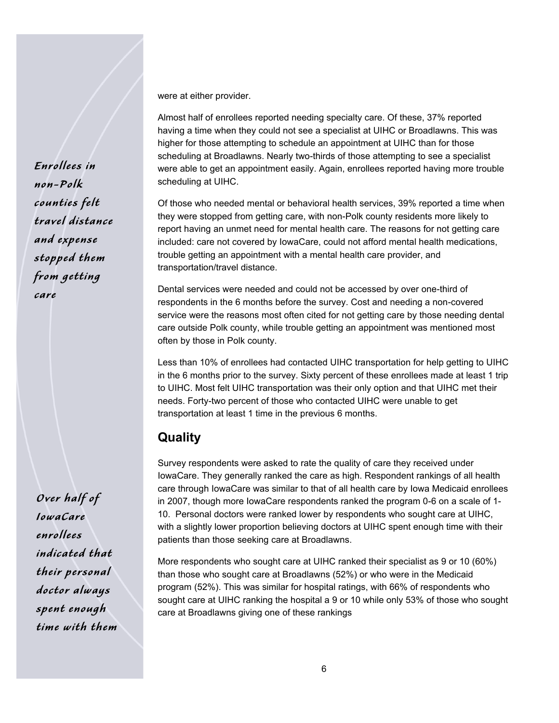were at either provider.

Almost half of enrollees reported needing specialty care. Of these, 37% reported having a time when they could not see a specialist at UIHC or Broadlawns. This was higher for those attempting to schedule an appointment at UIHC than for those scheduling at Broadlawns. Nearly two-thirds of those attempting to see a specialist were able to get an appointment easily. Again, enrollees reported having more trouble scheduling at UIHC.

Of those who needed mental or behavioral health services, 39% reported a time when they were stopped from getting care, with non-Polk county residents more likely to report having an unmet need for mental health care. The reasons for not getting care included: care not covered by IowaCare, could not afford mental health medications, trouble getting an appointment with a mental health care provider, and transportation/travel distance.

Dental services were needed and could not be accessed by over one-third of respondents in the 6 months before the survey. Cost and needing a non-covered service were the reasons most often cited for not getting care by those needing dental care outside Polk county, while trouble getting an appointment was mentioned most often by those in Polk county.

Less than 10% of enrollees had contacted UIHC transportation for help getting to UIHC in the 6 months prior to the survey. Sixty percent of these enrollees made at least 1 trip to UIHC. Most felt UIHC transportation was their only option and that UIHC met their needs. Forty-two percent of those who contacted UIHC were unable to get transportation at least 1 time in the previous 6 months.

#### **Quality**

Survey respondents were asked to rate the quality of care they received under IowaCare. They generally ranked the care as high. Respondent rankings of all health care through IowaCare was similar to that of all health care by Iowa Medicaid enrollees in 2007, though more IowaCare respondents ranked the program 0-6 on a scale of 1- 10. Personal doctors were ranked lower by respondents who sought care at UIHC, with a slightly lower proportion believing doctors at UIHC spent enough time with their patients than those seeking care at Broadlawns.

More respondents who sought care at UIHC ranked their specialist as 9 or 10 (60%) than those who sought care at Broadlawns (52%) or who were in the Medicaid program (52%). This was similar for hospital ratings, with 66% of respondents who sought care at UIHC ranking the hospital a 9 or 10 while only 53% of those who sought care at Broadlawns giving one of these rankings

Enrollees in non-Polk counties felt travel distance and expense stopped them from getting care

Over half of IowaCare enrollees indicated that their personal doctor always spent enough time with them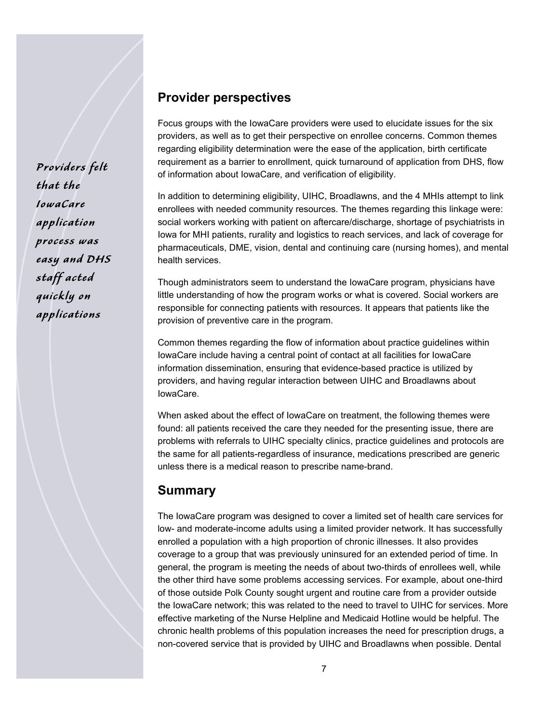Providers felt that the IowaCare application process was easy and DHS staff acted quickly on applications

#### **Provider perspectives**

Focus groups with the IowaCare providers were used to elucidate issues for the six providers, as well as to get their perspective on enrollee concerns. Common themes regarding eligibility determination were the ease of the application, birth certificate requirement as a barrier to enrollment, quick turnaround of application from DHS, flow of information about IowaCare, and verification of eligibility.

In addition to determining eligibility, UIHC, Broadlawns, and the 4 MHIs attempt to link enrollees with needed community resources. The themes regarding this linkage were: social workers working with patient on aftercare/discharge, shortage of psychiatrists in Iowa for MHI patients, rurality and logistics to reach services, and lack of coverage for pharmaceuticals, DME, vision, dental and continuing care (nursing homes), and mental health services.

Though administrators seem to understand the IowaCare program, physicians have little understanding of how the program works or what is covered. Social workers are responsible for connecting patients with resources. It appears that patients like the provision of preventive care in the program.

Common themes regarding the flow of information about practice guidelines within IowaCare include having a central point of contact at all facilities for IowaCare information dissemination, ensuring that evidence-based practice is utilized by providers, and having regular interaction between UIHC and Broadlawns about IowaCare.

When asked about the effect of IowaCare on treatment, the following themes were found: all patients received the care they needed for the presenting issue, there are problems with referrals to UIHC specialty clinics, practice guidelines and protocols are the same for all patients-regardless of insurance, medications prescribed are generic unless there is a medical reason to prescribe name-brand.

#### **Summary**

The IowaCare program was designed to cover a limited set of health care services for low- and moderate-income adults using a limited provider network. It has successfully enrolled a population with a high proportion of chronic illnesses. It also provides coverage to a group that was previously uninsured for an extended period of time. In general, the program is meeting the needs of about two-thirds of enrollees well, while the other third have some problems accessing services. For example, about one-third of those outside Polk County sought urgent and routine care from a provider outside the IowaCare network; this was related to the need to travel to UIHC for services. More effective marketing of the Nurse Helpline and Medicaid Hotline would be helpful. The chronic health problems of this population increases the need for prescription drugs, a non-covered service that is provided by UIHC and Broadlawns when possible. Dental